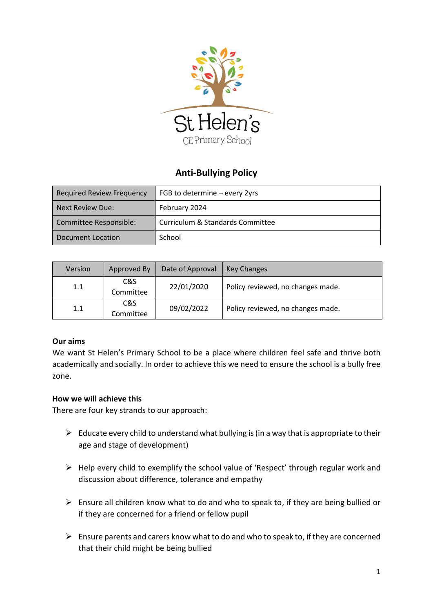

# **Anti-Bullying Policy**

| Required Review Frequency | FGB to determine - every 2yrs    |  |  |
|---------------------------|----------------------------------|--|--|
| Next Review Due:          | February 2024                    |  |  |
| Committee Responsible:    | Curriculum & Standards Committee |  |  |
| Document Location         | School                           |  |  |

| Version | Approved By      | Date of Approval | <b>Key Changes</b>                |
|---------|------------------|------------------|-----------------------------------|
| 1.1     | C&S<br>Committee | 22/01/2020       | Policy reviewed, no changes made. |
| 1.1     | C&S<br>Committee | 09/02/2022       | Policy reviewed, no changes made. |

#### **Our aims**

We want St Helen's Primary School to be a place where children feel safe and thrive both academically and socially. In order to achieve this we need to ensure the school is a bully free zone.

#### **How we will achieve this**

There are four key strands to our approach:

- $\triangleright$  Educate every child to understand what bullying is (in a way that is appropriate to their age and stage of development)
- $\triangleright$  Help every child to exemplify the school value of 'Respect' through regular work and discussion about difference, tolerance and empathy
- $\triangleright$  Ensure all children know what to do and who to speak to, if they are being bullied or if they are concerned for a friend or fellow pupil
- $\triangleright$  Ensure parents and carers know what to do and who to speak to, if they are concerned that their child might be being bullied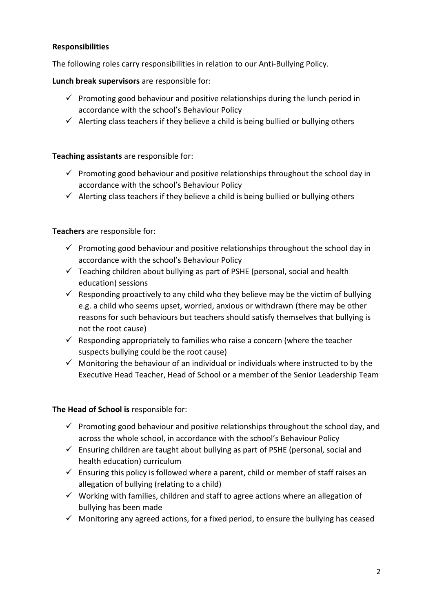## **Responsibilities**

The following roles carry responsibilities in relation to our Anti-Bullying Policy.

**Lunch break supervisors** are responsible for:

- $\checkmark$  Promoting good behaviour and positive relationships during the lunch period in accordance with the school's Behaviour Policy
- $\checkmark$  Alerting class teachers if they believe a child is being bullied or bullying others

### **Teaching assistants** are responsible for:

- $\checkmark$  Promoting good behaviour and positive relationships throughout the school day in accordance with the school's Behaviour Policy
- $\checkmark$  Alerting class teachers if they believe a child is being bullied or bullying others

### **Teachers** are responsible for:

- $\checkmark$  Promoting good behaviour and positive relationships throughout the school day in accordance with the school's Behaviour Policy
- $\checkmark$  Teaching children about bullying as part of PSHE (personal, social and health education) sessions
- $\checkmark$  Responding proactively to any child who they believe may be the victim of bullying e.g. a child who seems upset, worried, anxious or withdrawn (there may be other reasons for such behaviours but teachers should satisfy themselves that bullying is not the root cause)
- $\checkmark$  Responding appropriately to families who raise a concern (where the teacher suspects bullying could be the root cause)
- $\checkmark$  Monitoring the behaviour of an individual or individuals where instructed to by the Executive Head Teacher, Head of School or a member of the Senior Leadership Team

### **The Head of School is** responsible for:

- $\checkmark$  Promoting good behaviour and positive relationships throughout the school day, and across the whole school, in accordance with the school's Behaviour Policy
- $\checkmark$  Ensuring children are taught about bullying as part of PSHE (personal, social and health education) curriculum
- $\checkmark$  Ensuring this policy is followed where a parent, child or member of staff raises an allegation of bullying (relating to a child)
- $\checkmark$  Working with families, children and staff to agree actions where an allegation of bullying has been made
- $\checkmark$  Monitoring any agreed actions, for a fixed period, to ensure the bullying has ceased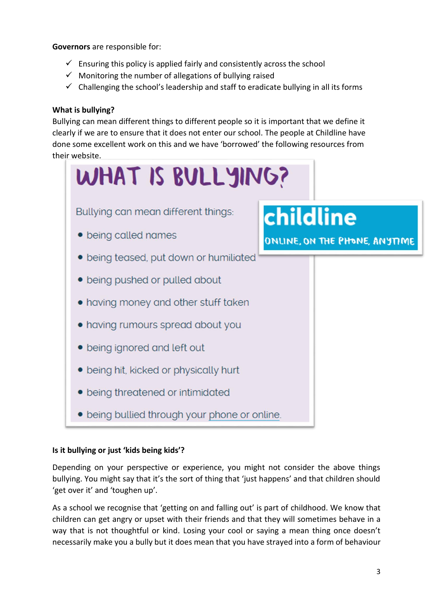**Governors** are responsible for:

- $\checkmark$  Ensuring this policy is applied fairly and consistently across the school
- $\checkmark$  Monitoring the number of allegations of bullying raised
- $\checkmark$  Challenging the school's leadership and staff to eradicate bullying in all its forms

### **What is bullying?**

Bullying can mean different things to different people so it is important that we define it clearly if we are to ensure that it does not enter our school. The people at Childline have done some excellent work on this and we have 'borrowed' the following resources from their website.



### **Is it bullying or just 'kids being kids'?**

Depending on your perspective or experience, you might not consider the above things bullying. You might say that it's the sort of thing that 'just happens' and that children should 'get over it' and 'toughen up'.

As a school we recognise that 'getting on and falling out' is part of childhood. We know that children can get angry or upset with their friends and that they will sometimes behave in a way that is not thoughtful or kind. Losing your cool or saying a mean thing once doesn't necessarily make you a bully but it does mean that you have strayed into a form of behaviour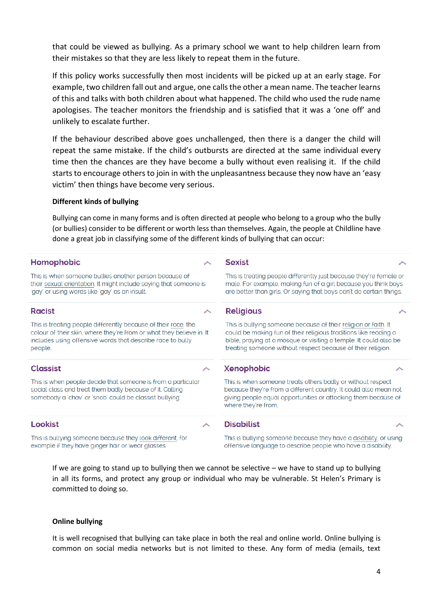that could be viewed as bullying. As a primary school we want to help children learn from their mistakes so that they are less likely to repeat them in the future.

If this policy works successfully then most incidents will be picked up at an early stage. For example, two children fall out and argue, one calls the other a mean name. The teacher learns of this and talks with both children about what happened. The child who used the rude name apologises. The teacher monitors the friendship and is satisfied that it was a 'one off' and unlikely to escalate further.

If the behaviour described above goes unchallenged, then there is a danger the child will repeat the same mistake. If the child's outbursts are directed at the same individual every time then the chances are they have become a bully without even realising it. If the child starts to encourage others to join in with the unpleasantness because they now have an 'easy victim' then things have become very serious.

#### **Different kinds of bullying**

Bullying can come in many forms and is often directed at people who belong to a group who the bully (or bullies) consider to be different or worth less than themselves. Again, the people at Childline have done a great job in classifying some of the different kinds of bullying that can occur:

| Homophobic                                                                                                                                                                                                      |  | <b>Sexist</b>                                                                                                                                                                                                                                                           |  |
|-----------------------------------------------------------------------------------------------------------------------------------------------------------------------------------------------------------------|--|-------------------------------------------------------------------------------------------------------------------------------------------------------------------------------------------------------------------------------------------------------------------------|--|
| This is when someone bullies another person because of<br>their sexual orientation. It might include saying that someone is<br>'gay' or using words like 'gay' as an insult.                                    |  | This is treating people differently just because they're female or<br>male. For example, making fun of a girl because you think boys<br>are better than girls. Or saying that boys can't do certain things.                                                             |  |
| <b>Racist</b>                                                                                                                                                                                                   |  | <b>Religious</b>                                                                                                                                                                                                                                                        |  |
| This is treating people differently because of their race, the<br>colour of their skin, where they're from or what they believe in. It<br>includes using offensive words that describe race to bully<br>people. |  | This is bullying someone because of their religion or faith. It<br>could be making fun of their religious traditions like reading a<br>bible, praying at a mosque or visiting a temple. It could also be<br>treating someone without respect because of their religion. |  |
| <b>Classist</b>                                                                                                                                                                                                 |  | <b>Xenophobic</b>                                                                                                                                                                                                                                                       |  |
| This is when people decide that someone is from a particular<br>social class and treat them badly because of it. Calling<br>somebody a 'chav' or 'snob' could be classist bullying.                             |  | This is when someone treats others badly or without respect<br>because they're from a different country. It could also mean not<br>giving people equal opportunities or attacking them because of<br>where they're from.                                                |  |
| Lookist                                                                                                                                                                                                         |  | <b>Disabilist</b>                                                                                                                                                                                                                                                       |  |
| This is bullying someone because they look different, for<br>example if they have ginger hair or wear glasses.                                                                                                  |  | This is bullying someone because they have a disability, or using<br>offensive language to describe people who have a disability.                                                                                                                                       |  |

If we are going to stand up to bullying then we cannot be selective – we have to stand up to bullying in all its forms, and protect any group or individual who may be vulnerable. St Helen's Primary is committed to doing so.

#### **Online bullying**

It is well recognised that bullying can take place in both the real and online world. Online bullying is common on social media networks but is not limited to these. Any form of media (emails, text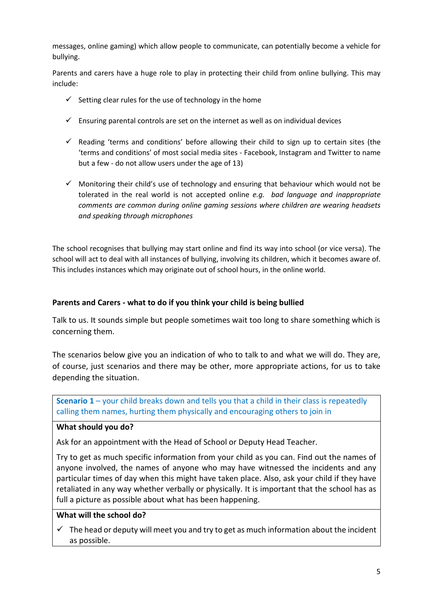messages, online gaming) which allow people to communicate, can potentially become a vehicle for bullying.

Parents and carers have a huge role to play in protecting their child from online bullying. This may include:

- $\checkmark$  Setting clear rules for the use of technology in the home
- $\checkmark$  Ensuring parental controls are set on the internet as well as on individual devices
- $\checkmark$  Reading 'terms and conditions' before allowing their child to sign up to certain sites (the 'terms and conditions' of most social media sites - Facebook, Instagram and Twitter to name but a few - do not allow users under the age of 13)
- $\checkmark$  Monitoring their child's use of technology and ensuring that behaviour which would not be tolerated in the real world is not accepted online *e.g. bad language and inappropriate comments are common during online gaming sessions where children are wearing headsets and speaking through microphones*

The school recognises that bullying may start online and find its way into school (or vice versa). The school will act to deal with all instances of bullying, involving its children, which it becomes aware of. This includes instances which may originate out of school hours, in the online world.

### **Parents and Carers - what to do if you think your child is being bullied**

Talk to us. It sounds simple but people sometimes wait too long to share something which is concerning them.

The scenarios below give you an indication of who to talk to and what we will do. They are, of course, just scenarios and there may be other, more appropriate actions, for us to take depending the situation.

**Scenario 1** – your child breaks down and tells you that a child in their class is repeatedly calling them names, hurting them physically and encouraging others to join in

#### **What should you do?**

Ask for an appointment with the Head of School or Deputy Head Teacher.

Try to get as much specific information from your child as you can. Find out the names of anyone involved, the names of anyone who may have witnessed the incidents and any particular times of day when this might have taken place. Also, ask your child if they have retaliated in any way whether verbally or physically. It is important that the school has as full a picture as possible about what has been happening.

### **What will the school do?**

 $\checkmark$  The head or deputy will meet you and try to get as much information about the incident as possible.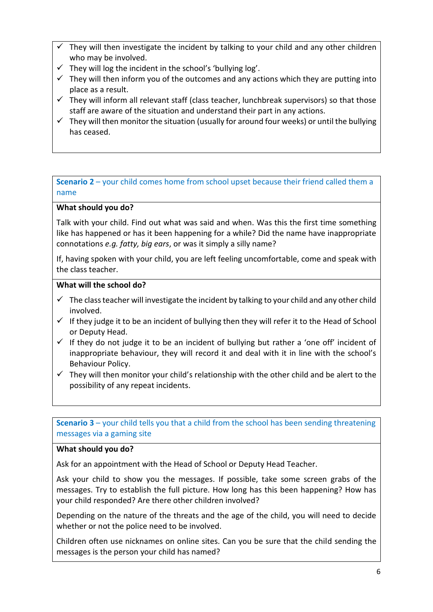- They will then investigate the incident by talking to your child and any other children who may be involved.
- $\checkmark$  They will log the incident in the school's 'bullying log'.
- $\checkmark$  They will then inform you of the outcomes and any actions which they are putting into place as a result.
- $\checkmark$  They will inform all relevant staff (class teacher, lunchbreak supervisors) so that those staff are aware of the situation and understand their part in any actions.
- $\checkmark$  They will then monitor the situation (usually for around four weeks) or until the bullying has ceased.

# **Scenario 2** – your child comes home from school upset because their friend called them a name

# **What should you do?**

Talk with your child. Find out what was said and when. Was this the first time something like has happened or has it been happening for a while? Did the name have inappropriate connotations *e.g. fatty, big ears*, or was it simply a silly name?

If, having spoken with your child, you are left feeling uncomfortable, come and speak with the class teacher.

# **What will the school do?**

- $\checkmark$  The class teacher will investigate the incident by talking to your child and any other child involved.
- $\checkmark$  If they judge it to be an incident of bullying then they will refer it to the Head of School or Deputy Head.
- $\checkmark$  If they do not judge it to be an incident of bullying but rather a 'one off' incident of inappropriate behaviour, they will record it and deal with it in line with the school's Behaviour Policy.
- $\checkmark$  They will then monitor your child's relationship with the other child and be alert to the possibility of any repeat incidents.

**Scenario 3** – your child tells you that a child from the school has been sending threatening messages via a gaming site

### **What should you do?**

Ask for an appointment with the Head of School or Deputy Head Teacher.

Ask your child to show you the messages. If possible, take some screen grabs of the messages. Try to establish the full picture. How long has this been happening? How has your child responded? Are there other children involved?

Depending on the nature of the threats and the age of the child, you will need to decide whether or not the police need to be involved.

Children often use nicknames on online sites. Can you be sure that the child sending the messages is the person your child has named?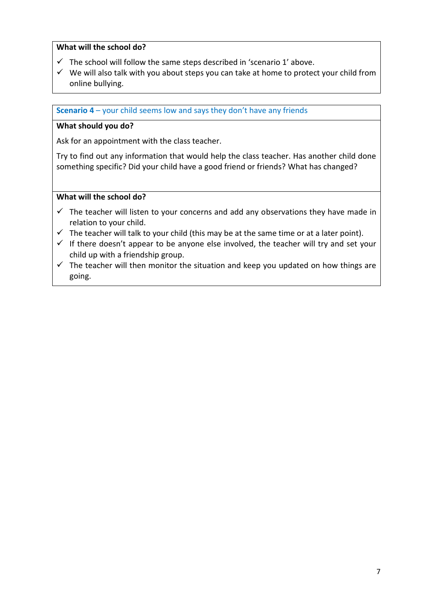### **What will the school do?**

- $\checkmark$  The school will follow the same steps described in 'scenario 1' above.
- $\checkmark$  We will also talk with you about steps you can take at home to protect your child from online bullying.

**Scenario 4** – your child seems low and says they don't have any friends

#### **What should you do?**

Ask for an appointment with the class teacher.

Try to find out any information that would help the class teacher. Has another child done something specific? Did your child have a good friend or friends? What has changed?

### **What will the school do?**

- $\checkmark$  The teacher will listen to your concerns and add any observations they have made in relation to your child.
- $\checkmark$  The teacher will talk to your child (this may be at the same time or at a later point).
- $\checkmark$  If there doesn't appear to be anyone else involved, the teacher will try and set your child up with a friendship group.
- $\checkmark$  The teacher will then monitor the situation and keep you updated on how things are going.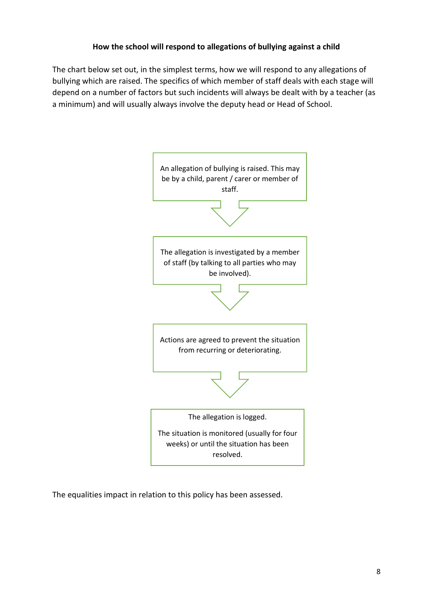### **How the school will respond to allegations of bullying against a child**

The chart below set out, in the simplest terms, how we will respond to any allegations of bullying which are raised. The specifics of which member of staff deals with each stage will depend on a number of factors but such incidents will always be dealt with by a teacher (as a minimum) and will usually always involve the deputy head or Head of School.



The equalities impact in relation to this policy has been assessed.